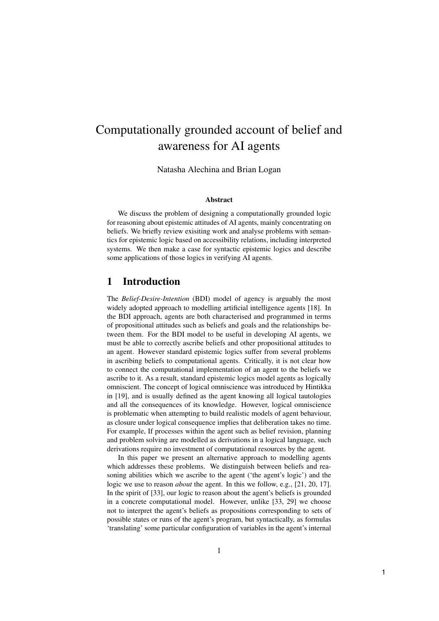# Computationally grounded account of belief and awareness for AI agents

Natasha Alechina and Brian Logan

#### **Abstract**

We discuss the problem of designing a computationally grounded logic for reasoning about epistemic attitudes of AI agents, mainly concentrating on beliefs. We briefly review exisiting work and analyse problems with semantics for epistemic logic based on accessibility relations, including interpreted systems. We then make a case for syntactic epistemic logics and describe some applications of those logics in verifying AI agents.

### 1 Introduction

The Belief-Desire-Intention (BDI) model of agency is arguably the most widely adopted approach to modelling artificial intelligence agents [18]. In the BDI approach, agents are both characterised and programmed in terms of propositional attitudes such as beliefs and goals and the relationships between them. For the BDI model to be useful in developing AI agents, we must be able to correctly ascribe beliefs and other propositional attitudes to an agent. However standard epistemic logics suffer from several problems in ascribing beliefs to computational agents. Critically, it is not clear how to connect the computational implementation of an agent to the beliefs we ascribe to it. As a result, standard epistemic logics model agents as logically omniscient. The concept of logical omniscience was introduced by Hintikka in [19], and is usually defined as the agent knowing all logical tautologies and all the consequences of its knowledge. However, logical omniscience is problematic when attempting to build realistic models of agent behaviour, as closure under logical consequence implies that deliberation takes no time. For example, If processes within the agent such as belief revision, planning and problem solving are modelled as derivations in a logical language, such derivations require no investment of computational resources by the agent.

In this paper we present an alternative approach to modelling agents which addresses these problems. We distinguish between beliefs and reasoning abilities which we ascribe to the agent ('the agent's logic') and the logic we use to reason about the agent. In this we follow, e.g., [21, 20, 17]. In the spirit of [33], our logic to reason about the agent's beliefs is grounded in a concrete computational model. However, unlike [33, 29] we choose not to interpret the agent's beliefs as propositions corresponding to sets of possible states or runs of the agent's program, but syntactically, as formulas 'translating' some particular configuration of variables in the agent's internal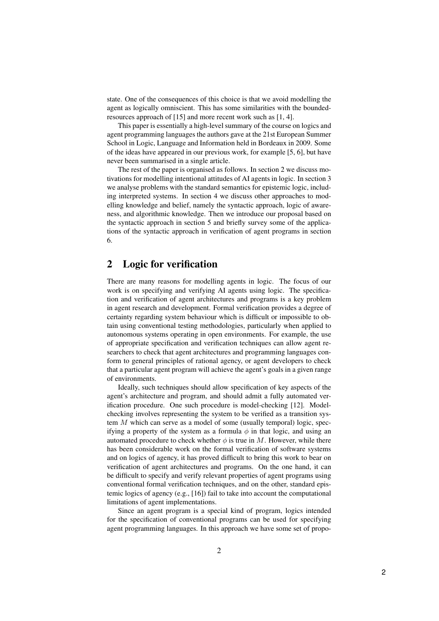state. One of the consequences of this choice is that we avoid modelling the agent as logically omniscient. This has some similarities with the boundedresources approach of [15] and more recent work such as [1, 4].

This paper is essentially a high-level summary of the course on logics and agent programming languages the authors gave at the 21st European Summer School in Logic, Language and Information held in Bordeaux in 2009. Some of the ideas have appeared in our previous work, for example [5, 6], but have never been summarised in a single article.

The rest of the paper is organised as follows. In section 2 we discuss motivations for modelling intentional attitudes of AI agents in logic. In section 3 we analyse problems with the standard semantics for epistemic logic, including interpreted systems. In section 4 we discuss other approaches to modelling knowledge and belief, namely the syntactic approach, logic of awareness, and algorithmic knowledge. Then we introduce our proposal based on the syntactic approach in section 5 and briefly survey some of the applications of the syntactic approach in verification of agent programs in section 6.

### 2 Logic for verification

There are many reasons for modelling agents in logic. The focus of our work is on specifying and verifying AI agents using logic. The specification and verification of agent architectures and programs is a key problem in agent research and development. Formal verification provides a degree of certainty regarding system behaviour which is difficult or impossible to obtain using conventional testing methodologies, particularly when applied to autonomous systems operating in open environments. For example, the use of appropriate specification and verification techniques can allow agent researchers to check that agent architectures and programming languages conform to general principles of rational agency, or agent developers to check that a particular agent program will achieve the agent's goals in a given range of environments.

Ideally, such techniques should allow specification of key aspects of the agent's architecture and program, and should admit a fully automated verification procedure. One such procedure is model-checking [12]. Modelchecking involves representing the system to be verified as a transition system  $M$  which can serve as a model of some (usually temporal) logic, specifying a property of the system as a formula  $\phi$  in that logic, and using an automated procedure to check whether  $\phi$  is true in M. However, while there has been considerable work on the formal verification of software systems and on logics of agency, it has proved difficult to bring this work to bear on verification of agent architectures and programs. On the one hand, it can be difficult to specify and verify relevant properties of agent programs using conventional formal verification techniques, and on the other, standard epistemic logics of agency (e.g., [16]) fail to take into account the computational limitations of agent implementations.

Since an agent program is a special kind of program, logics intended for the specification of conventional programs can be used for specifying agent programming languages. In this approach we have some set of propo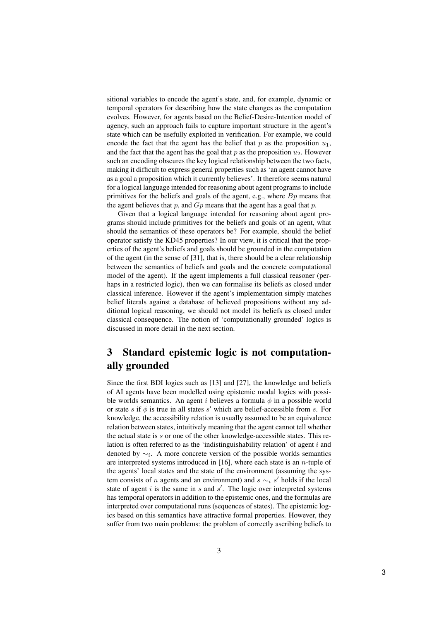sitional variables to encode the agent's state, and, for example, dynamic or temporal operators for describing how the state changes as the computation evolves. However, for agents based on the Belief-Desire-Intention model of agency, such an approach fails to capture important structure in the agent's state which can be usefully exploited in verification. For example, we could encode the fact that the agent has the belief that p as the proposition  $u_1$ , and the fact that the agent has the goal that p as the proposition  $u_2$ . However such an encoding obscures the key logical relationship between the two facts, making it difficult to express general properties such as 'an agent cannot have as a goal a proposition which it currently believes'. It therefore seems natural for a logical language intended for reasoning about agent programs to include primitives for the beliefs and goals of the agent, e.g., where  $B_p$  means that the agent believes that  $p$ , and  $Gp$  means that the agent has a goal that  $p$ .

Given that a logical language intended for reasoning about agent programs should include primitives for the beliefs and goals of an agent, what should the semantics of these operators be? For example, should the belief operator satisfy the KD45 properties? In our view, it is critical that the properties of the agent's beliefs and goals should be grounded in the computation of the agent (in the sense of [31], that is, there should be a clear relationship between the semantics of beliefs and goals and the concrete computational model of the agent). If the agent implements a full classical reasoner (perhaps in a restricted logic), then we can formalise its beliefs as closed under classical inference. However if the agent's implementation simply matches belief literals against a database of believed propositions without any additional logical reasoning, we should not model its beliefs as closed under classical consequence. The notion of 'computationally grounded' logics is discussed in more detail in the next section.

## 3 Standard epistemic logic is not computationally grounded

Since the first BDI logics such as [13] and [27], the knowledge and beliefs of AI agents have been modelled using epistemic modal logics with possible worlds semantics. An agent i believes a formula  $\phi$  in a possible world or state s if  $\phi$  is true in all states s' which are belief-accessible from s. For knowledge, the accessibility relation is usually assumed to be an equivalence relation between states, intuitively meaning that the agent cannot tell whether the actual state is s or one of the other knowledge-accessible states. This relation is often referred to as the 'indistinguishability relation' of agent  $i$  and denoted by  $\sim_i$ . A more concrete version of the possible worlds semantics are interpreted systems introduced in  $[16]$ , where each state is an *n*-tuple of the agents' local states and the state of the environment (assuming the system consists of *n* agents and an environment) and  $s \sim_i s'$  holds if the local state of agent  $i$  is the same in  $s$  and  $s'$ . The logic over interpreted systems has temporal operators in addition to the epistemic ones, and the formulas are interpreted over computational runs (sequences of states). The epistemic logics based on this semantics have attractive formal properties. However, they suffer from two main problems: the problem of correctly ascribing beliefs to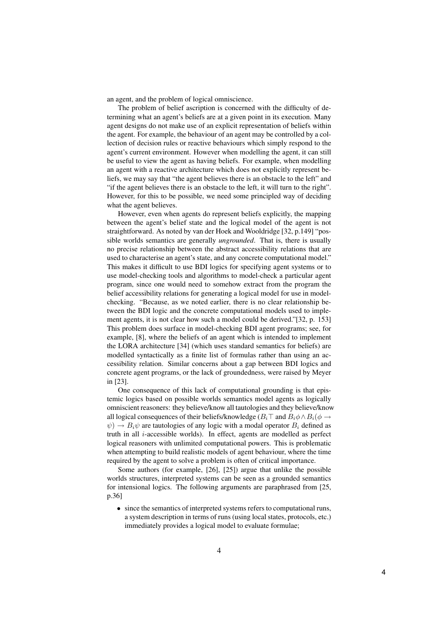an agent, and the problem of logical omniscience.

The problem of belief ascription is concerned with the difficulty of determining what an agent's beliefs are at a given point in its execution. Many agent designs do not make use of an explicit representation of beliefs within the agent. For example, the behaviour of an agent may be controlled by a collection of decision rules or reactive behaviours which simply respond to the agent's current environment. However when modelling the agent, it can still be useful to view the agent as having beliefs. For example, when modelling an agent with a reactive architecture which does not explicitly represent beliefs, we may say that "the agent believes there is an obstacle to the left" and "if the agent believes there is an obstacle to the left, it will turn to the right". However, for this to be possible, we need some principled way of deciding what the agent believes.

However, even when agents do represent beliefs explicitly, the mapping between the agent's belief state and the logical model of the agent is not straightforward. As noted by van der Hoek and Wooldridge [32, p.149] "possible worlds semantics are generally *ungrounded*. That is, there is usually no precise relationship between the abstract accessibility relations that are used to characterise an agent's state, and any concrete computational model." This makes it difficult to use BDI logics for specifying agent systems or to use model-checking tools and algorithms to model-check a particular agent program, since one would need to somehow extract from the program the belief accessibility relations for generating a logical model for use in modelchecking. "Because, as we noted earlier, there is no clear relationship between the BDI logic and the concrete computational models used to implement agents, it is not clear how such a model could be derived."[32, p. 153] This problem does surface in model-checking BDI agent programs; see, for example, [8], where the beliefs of an agent which is intended to implement the LORA architecture [34] (which uses standard semantics for beliefs) are modelled syntactically as a finite list of formulas rather than using an accessibility relation. Similar concerns about a gap between BDI logics and concrete agent programs, or the lack of groundedness, were raised by Meyer in [23].

One consequence of this lack of computational grounding is that epistemic logics based on possible worlds semantics model agents as logically omniscient reasoners: they believe/know all tautologies and they believe/know all logical consequences of their beliefs/knowledge ( $B_i\top$  and  $B_i\phi \wedge B_i(\phi \rightarrow$  $\psi$ )  $\rightarrow$   $B_i \psi$  are tautologies of any logic with a modal operator  $B_i$  defined as truth in all  $i$ -accessible worlds). In effect, agents are modelled as perfect logical reasoners with unlimited computational powers. This is problematic when attempting to build realistic models of agent behaviour, where the time required by the agent to solve a problem is often of critical importance.

Some authors (for example, [26], [25]) argue that unlike the possible worlds structures, interpreted systems can be seen as a grounded semantics for intensional logics. The following arguments are paraphrased from [25, p.36]

• since the semantics of interpreted systems refers to computational runs, a system description in terms of runs (using local states, protocols, etc.) immediately provides a logical model to evaluate formulae;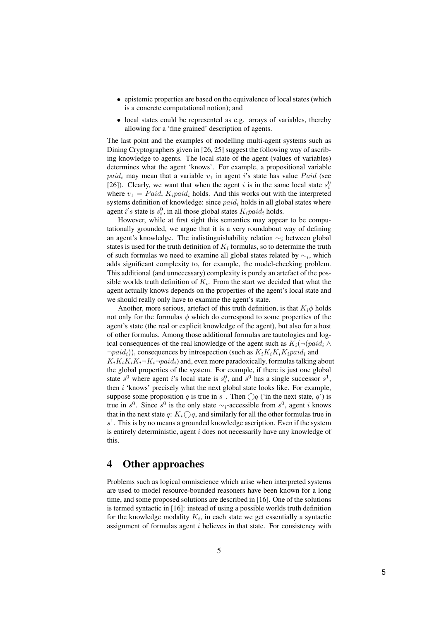- epistemic properties are based on the equivalence of local states (which is a concrete computational notion); and
- local states could be represented as e.g. arrays of variables, thereby allowing for a 'fine grained' description of agents.

The last point and the examples of modelling multi-agent systems such as Dining Cryptographers given in [26, 25] suggest the following way of ascribing knowledge to agents. The local state of the agent (values of variables) determines what the agent 'knows'. For example, a propositional variable  $paid<sub>i</sub>$  may mean that a variable  $v<sub>1</sub>$  in agent i's state has value  $Paid$  (see [26]). Clearly, we want that when the agent i is in the same local state  $s_i^0$ where  $v_1 = Paid$ ,  $K_i paid_i$  holds. And this works out with the interpreted systems definition of knowledge: since  $paid_i$  holds in all global states where agent i's state is  $s_i^0$ , in all those global states  $K_i$ *paid<sub>i</sub>* holds.

However, while at first sight this semantics may appear to be computationally grounded, we argue that it is a very roundabout way of defining an agent's knowledge. The indistinguishability relation  $\sim_i$  between global states is used for the truth definition of  $K_i$  formulas, so to determine the truth of such formulas we need to examine all global states related by  $\sim_i$ , which adds significant complexity to, for example, the model-checking problem. This additional (and unnecessary) complexity is purely an artefact of the possible worlds truth definition of  $K_i$ . From the start we decided that what the agent actually knows depends on the properties of the agent's local state and we should really only have to examine the agent's state.

Another, more serious, artefact of this truth definition, is that  $K_i\phi$  holds not only for the formulas  $\phi$  which do correspond to some properties of the agent's state (the real or explicit knowledge of the agent), but also for a host of other formulas. Among those additional formulas are tautologies and logical consequences of the real knowledge of the agent such as  $K_i(\neg (paid_i \wedge$  $\neg paid_i)$ , consequences by introspection (such as  $K_iK_iK_i$  paid<sub>i</sub> and  $K_iK_iK_i\neg K_i\neg paid_i$  and, even more paradoxically, formulas talking about the global properties of the system. For example, if there is just one global state  $s^0$  where agent i's local state is  $s_i^0$ , and  $s^0$  has a single successor  $s^1$ , then  $i$  'knows' precisely what the next global state looks like. For example, suppose some proposition q is true in  $s^1$ . Then  $\bigcirc q$  ('in the next state, q') is true in s<sup>0</sup>. Since s<sup>0</sup> is the only state ∼<sub>i</sub>-accessible from s<sup>0</sup>, agent i knows that in the next state q:  $K_i \bigcirc q$ , and similarly for all the other formulas true in  $s<sup>1</sup>$ . This is by no means a grounded knowledge ascription. Even if the system is entirely deterministic, agent  $i$  does not necessarily have any knowledge of this.

### 4 Other approaches

Problems such as logical omniscience which arise when interpreted systems are used to model resource-bounded reasoners have been known for a long time, and some proposed solutions are described in [16]. One of the solutions is termed syntactic in [16]: instead of using a possible worlds truth definition for the knowledge modality  $K_i$ , in each state we get essentially a syntactic assignment of formulas agent  $i$  believes in that state. For consistency with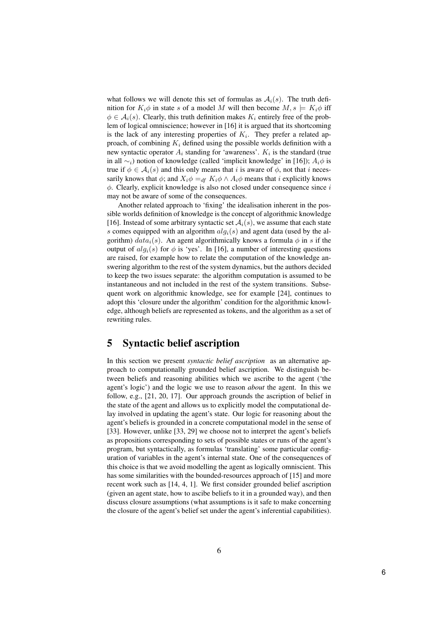what follows we will denote this set of formulas as  $A_i(s)$ . The truth definition for  $K_i\phi$  in state s of a model M will then become  $M, s \models K_i\phi$  iff  $\phi \in \mathcal{A}_i(s)$ . Clearly, this truth definition makes  $K_i$  entirely free of the problem of logical omniscience; however in [16] it is argued that its shortcoming is the lack of any interesting properties of  $K_i$ . They prefer a related approach, of combining  $K_i$  defined using the possible worlds definition with a new syntactic operator  $A_i$  standing for 'awareness'.  $K_i$  is the standard (true in all  $\sim$ <sub>i</sub>) notion of knowledge (called 'implicit knowledge' in [16]);  $A_i\phi$  is true if  $\phi \in \mathcal{A}_i(s)$  and this only means that i is aware of  $\phi$ , not that i necessarily knows that  $\phi$ ; and  $X_i \phi =_{df} K_i \phi \wedge A_i \phi$  means that i explicitly knows  $\phi$ . Clearly, explicit knowledge is also not closed under consequence since i may not be aware of some of the consequences.

Another related approach to 'fixing' the idealisation inherent in the possible worlds definition of knowledge is the concept of algorithmic knowledge [16]. Instead of some arbitrary syntactic set  $A_i(s)$ , we assume that each state s comes equipped with an algorithm  $alg_i(s)$  and agent data (used by the algorithm)  $data_i(s)$ . An agent algorithmically knows a formula  $\phi$  in s if the output of  $alg_i(s)$  for  $\phi$  is 'yes'. In [16], a number of interesting questions are raised, for example how to relate the computation of the knowledge answering algorithm to the rest of the system dynamics, but the authors decided to keep the two issues separate: the algorithm computation is assumed to be instantaneous and not included in the rest of the system transitions. Subsequent work on algorithmic knowledge, see for example [24], continues to adopt this 'closure under the algorithm' condition for the algorithmic knowledge, although beliefs are represented as tokens, and the algorithm as a set of rewriting rules.

### 5 Syntactic belief ascription

In this section we present *syntactic belief ascription* as an alternative approach to computationally grounded belief ascription. We distinguish between beliefs and reasoning abilities which we ascribe to the agent ('the agent's logic') and the logic we use to reason about the agent. In this we follow, e.g., [21, 20, 17]. Our approach grounds the ascription of belief in the state of the agent and allows us to explicitly model the computational delay involved in updating the agent's state. Our logic for reasoning about the agent's beliefs is grounded in a concrete computational model in the sense of [33]. However, unlike [33, 29] we choose not to interpret the agent's beliefs as propositions corresponding to sets of possible states or runs of the agent's program, but syntactically, as formulas 'translating' some particular configuration of variables in the agent's internal state. One of the consequences of this choice is that we avoid modelling the agent as logically omniscient. This has some similarities with the bounded-resources approach of [15] and more recent work such as [14, 4, 1]. We first consider grounded belief ascription (given an agent state, how to ascibe beliefs to it in a grounded way), and then discuss closure assumptions (what assumptions is it safe to make concerning the closure of the agent's belief set under the agent's inferential capabilities).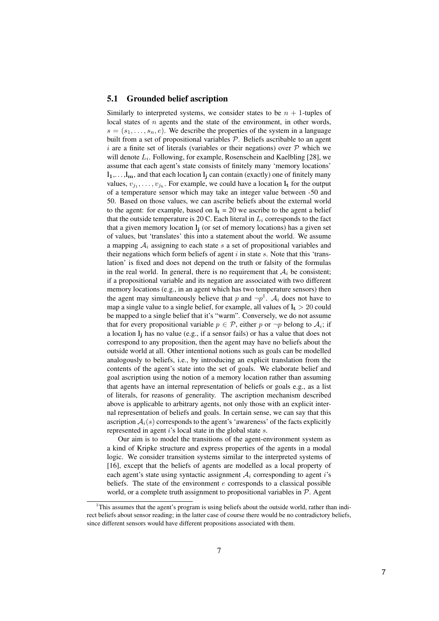#### 5.1 Grounded belief ascription

Similarly to interpreted systems, we consider states to be  $n + 1$ -tuples of local states of  $n$  agents and the state of the environment, in other words,  $s = (s_1, \ldots, s_n, e)$ . We describe the properties of the system in a language built from a set of propositional variables P. Beliefs ascribable to an agent i are a finite set of literals (variables or their negations) over  $P$  which we will denote  $L_i$ . Following, for example, Rosenschein and Kaelbling [28], we assume that each agent's state consists of finitely many 'memory locations'  $l_1, \ldots, l_m$ , and that each location  $l_i$  can contain (exactly) one of finitely many values,  $v_{i_1}, \ldots, v_{i_k}$ . For example, we could have a location  $l_t$  for the output of a temperature sensor which may take an integer value between -50 and 50. Based on those values, we can ascribe beliefs about the external world to the agent: for example, based on  $l_t = 20$  we ascribe to the agent a belief that the outside temperature is 20 C. Each literal in  $L<sub>i</sub>$  corresponds to the fact that a given memory location  $l_i$  (or set of memory locations) has a given set of values, but 'translates' this into a statement about the world. We assume a mapping  $A_i$  assigning to each state s a set of propositional variables and their negations which form beliefs of agent  $i$  in state  $s$ . Note that this 'translation' is fixed and does not depend on the truth or falsity of the formulas in the real world. In general, there is no requirement that  $A_i$  be consistent; if a propositional variable and its negation are associated with two different memory locations (e.g., in an agent which has two temperature sensors) then the agent may simultaneously believe that p and  $\neg p^1$ .  $\mathcal{A}_i$  does not have to map a single value to a single belief, for example, all values of  $l_t > 20$  could be mapped to a single belief that it's "warm". Conversely, we do not assume that for every propositional variable  $p \in \mathcal{P}$ , either p or  $\neg p$  belong to  $\mathcal{A}_i$ ; if a location  $l_i$  has no value (e.g., if a sensor fails) or has a value that does not correspond to any proposition, then the agent may have no beliefs about the outside world at all. Other intentional notions such as goals can be modelled analogously to beliefs, i.e., by introducing an explicit translation from the contents of the agent's state into the set of goals. We elaborate belief and goal ascription using the notion of a memory location rather than assuming that agents have an internal representation of beliefs or goals e.g., as a list of literals, for reasons of generality. The ascription mechanism described above is applicable to arbitrary agents, not only those with an explicit internal representation of beliefs and goals. In certain sense, we can say that this ascription  $A_i(s)$  corresponds to the agent's 'awareness' of the facts explicitly represented in agent i's local state in the global state s.

Our aim is to model the transitions of the agent-environment system as a kind of Kripke structure and express properties of the agents in a modal logic. We consider transition systems similar to the interpreted systems of [16], except that the beliefs of agents are modelled as a local property of each agent's state using syntactic assignment  $A_i$  corresponding to agent i's beliefs. The state of the environment  $e$  corresponds to a classical possible world, or a complete truth assignment to propositional variables in  $P$ . Agent

<sup>&</sup>lt;sup>1</sup>This assumes that the agent's program is using beliefs about the outside world, rather than indirect beliefs about sensor reading; in the latter case of course there would be no contradictory beliefs, since different sensors would have different propositions associated with them.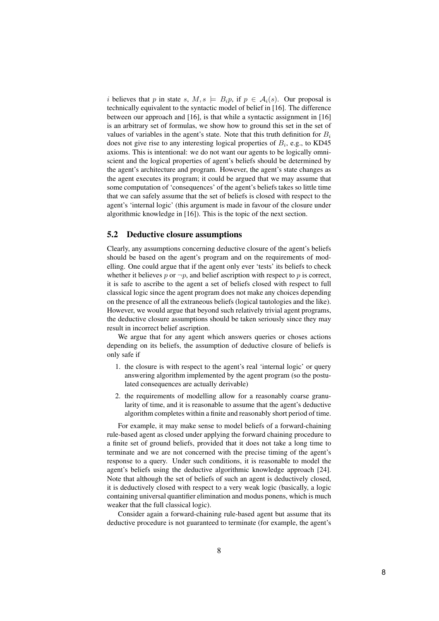i believes that p in state s,  $M, s \models B_i p$ , if  $p \in A_i(s)$ . Our proposal is technically equivalent to the syntactic model of belief in [16]. The difference between our approach and [16], is that while a syntactic assignment in [16] is an arbitrary set of formulas, we show how to ground this set in the set of values of variables in the agent's state. Note that this truth definition for  $B_i$ does not give rise to any interesting logical properties of  $B_i$ , e.g., to KD45 axioms. This is intentional: we do not want our agents to be logically omniscient and the logical properties of agent's beliefs should be determined by the agent's architecture and program. However, the agent's state changes as the agent executes its program; it could be argued that we may assume that some computation of 'consequences' of the agent's beliefs takes so little time that we can safely assume that the set of beliefs is closed with respect to the agent's 'internal logic' (this argument is made in favour of the closure under algorithmic knowledge in [16]). This is the topic of the next section.

#### 5.2 Deductive closure assumptions

Clearly, any assumptions concerning deductive closure of the agent's beliefs should be based on the agent's program and on the requirements of modelling. One could argue that if the agent only ever 'tests' its beliefs to check whether it believes p or  $\neg p$ , and belief ascription with respect to p is correct, it is safe to ascribe to the agent a set of beliefs closed with respect to full classical logic since the agent program does not make any choices depending on the presence of all the extraneous beliefs (logical tautologies and the like). However, we would argue that beyond such relatively trivial agent programs, the deductive closure assumptions should be taken seriously since they may result in incorrect belief ascription.

We argue that for any agent which answers queries or choses actions depending on its beliefs, the assumption of deductive closure of beliefs is only safe if

- 1. the closure is with respect to the agent's real 'internal logic' or query answering algorithm implemented by the agent program (so the postulated consequences are actually derivable)
- 2. the requirements of modelling allow for a reasonably coarse granularity of time, and it is reasonable to assume that the agent's deductive algorithm completes within a finite and reasonably short period of time.

For example, it may make sense to model beliefs of a forward-chaining rule-based agent as closed under applying the forward chaining procedure to a finite set of ground beliefs, provided that it does not take a long time to terminate and we are not concerned with the precise timing of the agent's response to a query. Under such conditions, it is reasonable to model the agent's beliefs using the deductive algorithmic knowledge approach [24]. Note that although the set of beliefs of such an agent is deductively closed, it is deductively closed with respect to a very weak logic (basically, a logic containing universal quantifier elimination and modus ponens, which is much weaker that the full classical logic).

Consider again a forward-chaining rule-based agent but assume that its deductive procedure is not guaranteed to terminate (for example, the agent's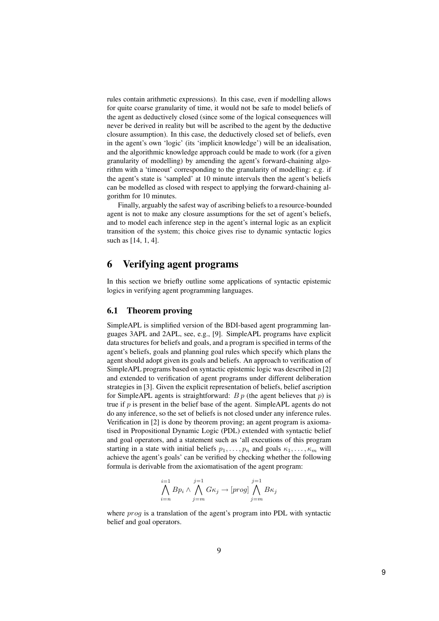rules contain arithmetic expressions). In this case, even if modelling allows for quite coarse granularity of time, it would not be safe to model beliefs of the agent as deductively closed (since some of the logical consequences will never be derived in reality but will be ascribed to the agent by the deductive closure assumption). In this case, the deductively closed set of beliefs, even in the agent's own 'logic' (its 'implicit knowledge') will be an idealisation, and the algorithmic knowledge approach could be made to work (for a given granularity of modelling) by amending the agent's forward-chaining algorithm with a 'timeout' corresponding to the granularity of modelling: e.g. if the agent's state is 'sampled' at 10 minute intervals then the agent's beliefs can be modelled as closed with respect to applying the forward-chaining algorithm for 10 minutes.

Finally, arguably the safest way of ascribing beliefs to a resource-bounded agent is not to make any closure assumptions for the set of agent's beliefs, and to model each inference step in the agent's internal logic as an explicit transition of the system; this choice gives rise to dynamic syntactic logics such as [14, 1, 4].

### 6 Verifying agent programs

In this section we briefly outline some applications of syntactic epistemic logics in verifying agent programming languages.

### 6.1 Theorem proving

SimpleAPL is simplified version of the BDI-based agent programming languages 3APL and 2APL, see, e.g., [9]. SimpleAPL programs have explicit data structures for beliefs and goals, and a program is specified in terms of the agent's beliefs, goals and planning goal rules which specify which plans the agent should adopt given its goals and beliefs. An approach to verification of SimpleAPL programs based on syntactic epistemic logic was described in [2] and extended to verification of agent programs under different deliberation strategies in [3]. Given the explicit representation of beliefs, belief ascription for SimpleAPL agents is straightforward:  $B p$  (the agent believes that  $p$ ) is true if  $p$  is present in the belief base of the agent. SimpleAPL agents do not do any inference, so the set of beliefs is not closed under any inference rules. Verification in [2] is done by theorem proving; an agent program is axiomatised in Propositional Dynamic Logic (PDL) extended with syntactic belief and goal operators, and a statement such as 'all executions of this program starting in a state with initial beliefs  $p_1, \ldots, p_n$  and goals  $\kappa_1, \ldots, \kappa_m$  will achieve the agent's goals' can be verified by checking whether the following formula is derivable from the axiomatisation of the agent program:

$$
\bigwedge_{i=n}^{i=1} Bp_i \wedge \bigwedge_{j=m}^{j=1} G\kappa_j \to [prog] \bigwedge_{j=m}^{j=1} B\kappa_j
$$

where *proq* is a translation of the agent's program into PDL with syntactic belief and goal operators.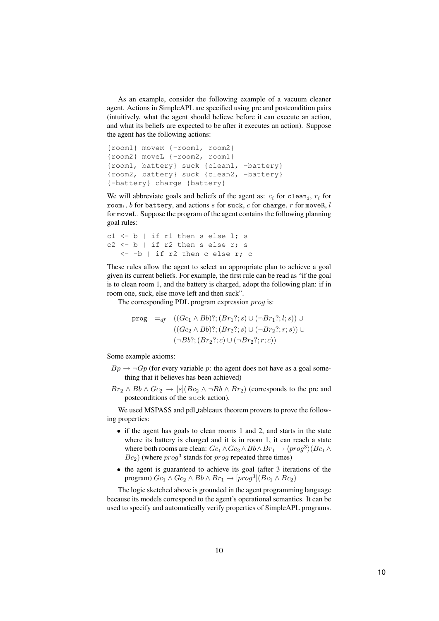As an example, consider the following example of a vacuum cleaner agent. Actions in SimpleAPL are specified using pre and postcondition pairs (intuitively, what the agent should believe before it can execute an action, and what its beliefs are expected to be after it executes an action). Suppose the agent has the following actions:

```
{room1} moveR {-room1, room2}
{room2} moveL {-room2, room1}
{room1, battery} suck {clean1, -battery}
{room2, battery} suck {clean2, -battery}
{-battery} charge {battery}
```
We will abbreviate goals and beliefs of the agent as:  $c_i$  for clean<sub>i</sub>,  $r_i$  for room<sub>i</sub>, b for battery, and actions s for suck, c for charge, r for moveR, l for moveL. Suppose the program of the agent contains the following planning goal rules:

```
c1 \leftarrow b | if r1 then s else 1; s
c2 \le b | if r2 then s else r; s
   <- -b | if r2 then c else r; c
```
These rules allow the agent to select an appropriate plan to achieve a goal given its current beliefs. For example, the first rule can be read as "if the goal is to clean room 1, and the battery is charged, adopt the following plan: if in room one, suck, else move left and then suck".

The corresponding PDL program expression *prog* is:

$$
\begin{array}{ll}\n\text{prog} & =_{df} & \left( (Gc_1 \land Bb)?; (Br_1?; s) \cup (\neg Br_1?; l; s) \right) \cup \\
& \left( (Gc_2 \land Bb)?; (Br_2?; s) \cup (\neg Br_2?; r; s) \right) \cup \\
& \left( \neg Bb?; (Br_2?; c) \cup (\neg Br_2?; r; c) \right)\n\end{array}
$$

Some example axioms:

- $Bp \rightarrow \neg Gp$  (for every variable p: the agent does not have as a goal something that it believes has been achieved)
- $Br_2 \wedge Bb \wedge Gc_2 \rightarrow [s](Bc_2 \wedge \neg Bb \wedge Br_2)$  (corresponds to the pre and postconditions of the suck action).

We used MSPASS and pdl\_tableaux theorem provers to prove the following properties:

- if the agent has goals to clean rooms 1 and 2, and starts in the state where its battery is charged and it is in room 1, it can reach a state where both rooms are clean:  $Gc_1 \wedge Gc_2 \wedge Bb \wedge Br_1 \rightarrow \langle prog^3 \rangle (Bc_1 \wedge$  $Bc_2$ ) (where  $prog^3$  stands for  $prog$  repeated three times)
- the agent is guaranteed to achieve its goal (after 3 iterations of the program)  $Gc_1 \wedge Gc_2 \wedge Bb \wedge Br_1 \rightarrow [prog^3](Bc_1 \wedge Bc_2)$

The logic sketched above is grounded in the agent programming language because its models correspond to the agent's operational semantics. It can be used to specify and automatically verify properties of SimpleAPL programs.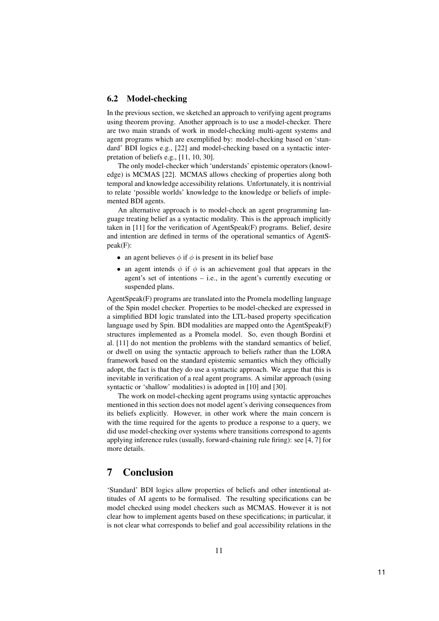#### 6.2 Model-checking

In the previous section, we sketched an approach to verifying agent programs using theorem proving. Another approach is to use a model-checker. There are two main strands of work in model-checking multi-agent systems and agent programs which are exemplified by: model-checking based on 'standard' BDI logics e.g., [22] and model-checking based on a syntactic interpretation of beliefs e.g., [11, 10, 30].

The only model-checker which 'understands' epistemic operators (knowledge) is MCMAS [22]. MCMAS allows checking of properties along both temporal and knowledge accessibility relations. Unfortunately, it is nontrivial to relate 'possible worlds' knowledge to the knowledge or beliefs of implemented BDI agents.

An alternative approach is to model-check an agent programming language treating belief as a syntactic modality. This is the approach implicitly taken in [11] for the verification of AgentSpeak(F) programs. Belief, desire and intention are defined in terms of the operational semantics of AgentSpeak(F):

- an agent believes  $\phi$  if  $\phi$  is present in its belief base
- an agent intends  $\phi$  if  $\phi$  is an achievement goal that appears in the agent's set of intentions – i.e., in the agent's currently executing or suspended plans.

AgentSpeak(F) programs are translated into the Promela modelling language of the Spin model checker. Properties to be model-checked are expressed in a simplified BDI logic translated into the LTL-based property specification language used by Spin. BDI modalities are mapped onto the AgentSpeak(F) structures implemented as a Promela model. So, even though Bordini et al. [11] do not mention the problems with the standard semantics of belief, or dwell on using the syntactic approach to beliefs rather than the LORA framework based on the standard epistemic semantics which they officially adopt, the fact is that they do use a syntactic approach. We argue that this is inevitable in verification of a real agent programs. A similar approach (using syntactic or 'shallow' modalities) is adopted in [10] and [30].

The work on model-checking agent programs using syntactic approaches mentioned in this section does not model agent's deriving consequences from its beliefs explicitly. However, in other work where the main concern is with the time required for the agents to produce a response to a query, we did use model-checking over systems where transitions correspond to agents applying inference rules (usually, forward-chaining rule firing): see [4, 7] for more details.

### 7 Conclusion

'Standard' BDI logics allow properties of beliefs and other intentional attitudes of AI agents to be formalised. The resulting specifications can be model checked using model checkers such as MCMAS. However it is not clear how to implement agents based on these specifications; in particular, it is not clear what corresponds to belief and goal accessibility relations in the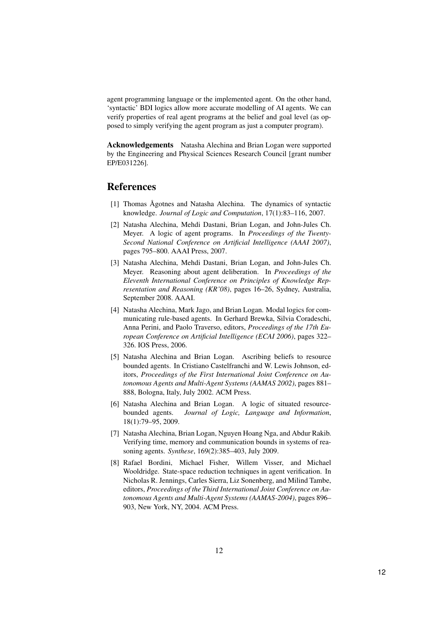agent programming language or the implemented agent. On the other hand, 'syntactic' BDI logics allow more accurate modelling of AI agents. We can verify properties of real agent programs at the belief and goal level (as opposed to simply verifying the agent program as just a computer program).

Acknowledgements Natasha Alechina and Brian Logan were supported by the Engineering and Physical Sciences Research Council [grant number EP/E031226].

### References

- [1] Thomas Ågotnes and Natasha Alechina. The dynamics of syntactic knowledge. Journal of Logic and Computation, 17(1):83–116, 2007.
- [2] Natasha Alechina, Mehdi Dastani, Brian Logan, and John-Jules Ch. Meyer. A logic of agent programs. In Proceedings of the Twenty-Second National Conference on Artificial Intelligence (AAAI 2007), pages 795–800. AAAI Press, 2007.
- [3] Natasha Alechina, Mehdi Dastani, Brian Logan, and John-Jules Ch. Meyer. Reasoning about agent deliberation. In Proceedings of the Eleventh International Conference on Principles of Knowledge Representation and Reasoning (KR'08), pages 16–26, Sydney, Australia, September 2008. AAAI.
- [4] Natasha Alechina, Mark Jago, and Brian Logan. Modal logics for communicating rule-based agents. In Gerhard Brewka, Silvia Coradeschi, Anna Perini, and Paolo Traverso, editors, Proceedings of the 17th European Conference on Artificial Intelligence (ECAI 2006), pages 322– 326. IOS Press, 2006.
- [5] Natasha Alechina and Brian Logan. Ascribing beliefs to resource bounded agents. In Cristiano Castelfranchi and W. Lewis Johnson, editors, Proceedings of the First International Joint Conference on Autonomous Agents and Multi-Agent Systems (AAMAS 2002), pages 881– 888, Bologna, Italy, July 2002. ACM Press.
- [6] Natasha Alechina and Brian Logan. A logic of situated resourcebounded agents. Journal of Logic, Language and Information, 18(1):79–95, 2009.
- [7] Natasha Alechina, Brian Logan, Nguyen Hoang Nga, and Abdur Rakib. Verifying time, memory and communication bounds in systems of reasoning agents. Synthese, 169(2):385–403, July 2009.
- [8] Rafael Bordini, Michael Fisher, Willem Visser, and Michael Wooldridge. State-space reduction techniques in agent verification. In Nicholas R. Jennings, Carles Sierra, Liz Sonenberg, and Milind Tambe, editors, Proceedings of the Third International Joint Conference on Autonomous Agents and Multi-Agent Systems (AAMAS-2004), pages 896– 903, New York, NY, 2004. ACM Press.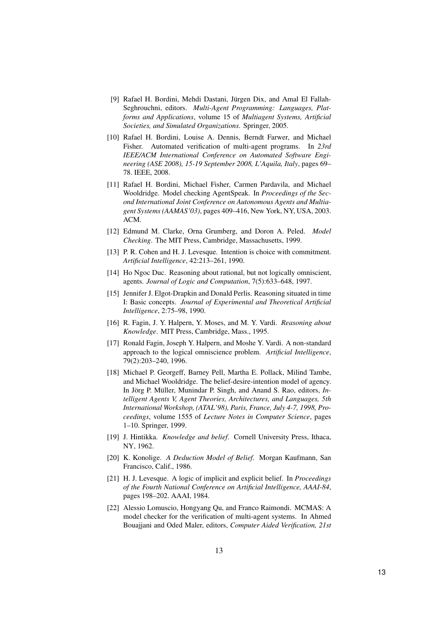- [9] Rafael H. Bordini, Mehdi Dastani, Jürgen Dix, and Amal El Fallah-Seghrouchni, editors. Multi-Agent Programming: Languages, Platforms and Applications, volume 15 of Multiagent Systems, Artificial Societies, and Simulated Organizations. Springer, 2005.
- [10] Rafael H. Bordini, Louise A. Dennis, Berndt Farwer, and Michael Fisher. Automated verification of multi-agent programs. In 23rd IEEE/ACM International Conference on Automated Software Engineering (ASE 2008), 15-19 September 2008, L'Aquila, Italy, pages 69– 78. IEEE, 2008.
- [11] Rafael H. Bordini, Michael Fisher, Carmen Pardavila, and Michael Wooldridge. Model checking AgentSpeak. In Proceedings of the Second International Joint Conference on Autonomous Agents and Multiagent Systems (AAMAS'03), pages 409–416, New York, NY, USA, 2003. ACM.
- [12] Edmund M. Clarke, Orna Grumberg, and Doron A. Peled. Model Checking. The MIT Press, Cambridge, Massachusetts, 1999.
- [13] P. R. Cohen and H. J. Levesque. Intention is choice with commitment. Artificial Intelligence, 42:213–261, 1990.
- [14] Ho Ngoc Duc. Reasoning about rational, but not logically omniscient, agents. Journal of Logic and Computation, 7(5):633–648, 1997.
- [15] Jennifer J. Elgot-Drapkin and Donald Perlis. Reasoning situated in time I: Basic concepts. Journal of Experimental and Theoretical Artificial Intelligence, 2:75–98, 1990.
- [16] R. Fagin, J. Y. Halpern, Y. Moses, and M. Y. Vardi. Reasoning about Knowledge. MIT Press, Cambridge, Mass., 1995.
- [17] Ronald Fagin, Joseph Y. Halpern, and Moshe Y. Vardi. A non-standard approach to the logical omniscience problem. Artificial Intelligence, 79(2):203–240, 1996.
- [18] Michael P. Georgeff, Barney Pell, Martha E. Pollack, Milind Tambe, and Michael Wooldridge. The belief-desire-intention model of agency. In Jörg P. Müller, Munindar P. Singh, and Anand S. Rao, editors, Intelligent Agents V, Agent Theories, Architectures, and Languages, 5th International Workshop, (ATAL'98), Paris, France, July 4-7, 1998, Proceedings, volume 1555 of Lecture Notes in Computer Science, pages 1–10. Springer, 1999.
- [19] J. Hintikka. Knowledge and belief. Cornell University Press, Ithaca, NY, 1962.
- [20] K. Konolige. A Deduction Model of Belief. Morgan Kaufmann, San Francisco, Calif., 1986.
- [21] H. J. Levesque. A logic of implicit and explicit belief. In *Proceedings* of the Fourth National Conference on Artificial Intelligence, AAAI-84, pages 198–202. AAAI, 1984.
- [22] Alessio Lomuscio, Hongyang Qu, and Franco Raimondi. MCMAS: A model checker for the verification of multi-agent systems. In Ahmed Bouajjani and Oded Maler, editors, Computer Aided Verification, 21st